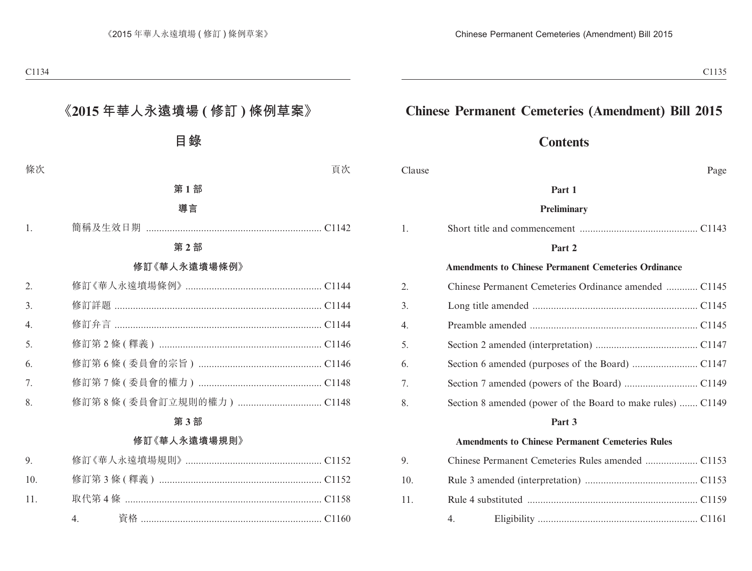## **Chinese Permanent Cemeteries (Amendment) Bill 2015**

## **Contents**

Clause Page

#### **Part 1**

#### **Preliminary**

|--|--|

#### **Part 2**

## **Amendments to Chinese Permanent Cemeteries Ordinance**

| 2. |                                                             |
|----|-------------------------------------------------------------|
| 3. |                                                             |
| 4. |                                                             |
| 5. |                                                             |
| 6. |                                                             |
| 7. |                                                             |
| 8. | Section 8 amended (power of the Board to make rules)  C1149 |

#### **Part 3**

## **Amendments to Chinese Permanent Cemeteries Rules**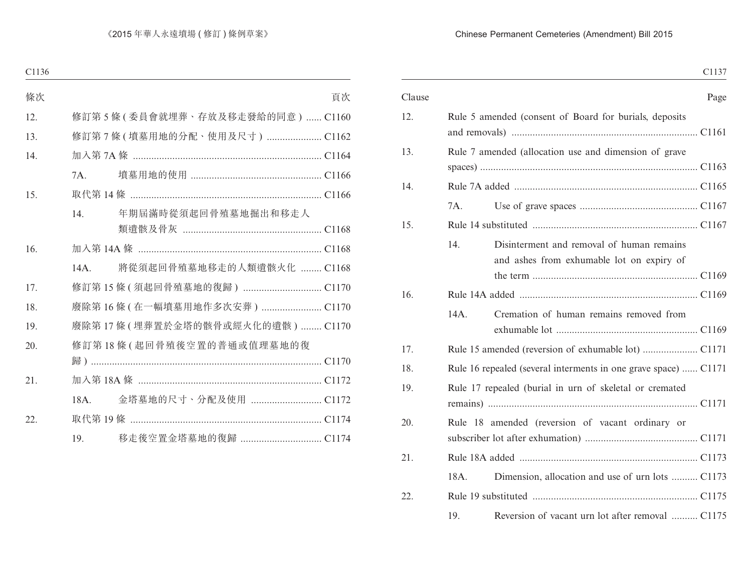## Chinese Permanent Cemeteries (Amendment) Bill 2015

C1137

| Clause |                                                                                               | Page |
|--------|-----------------------------------------------------------------------------------------------|------|
| 12.    | Rule 5 amended (consent of Board for burials, deposits                                        |      |
| 13.    | Rule 7 amended (allocation use and dimension of grave                                         |      |
| 14.    |                                                                                               |      |
|        | 7A.                                                                                           |      |
| 15.    |                                                                                               |      |
|        | 14.<br>Disinterment and removal of human remains<br>and ashes from exhumable lot on expiry of |      |
| 16.    |                                                                                               |      |
|        | Cremation of human remains removed from<br>14A.                                               |      |
| 17.    |                                                                                               |      |
| 18.    | Rule 16 repealed (several interments in one grave space)  C1171                               |      |
| 19.    | Rule 17 repealed (burial in urn of skeletal or cremated                                       |      |
| 20.    | Rule 18 amended (reversion of vacant ordinary or                                              |      |
| 21.    |                                                                                               |      |
|        | Dimension, allocation and use of urn lots  C1173<br>18A.                                      |      |
| 22.    |                                                                                               |      |
|        | Reversion of vacant urn lot after removal  C1175<br>19.                                       |      |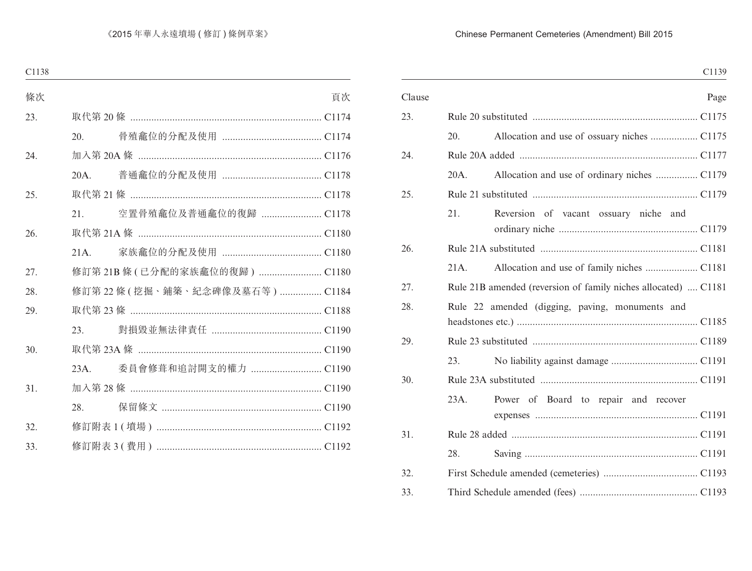## Chinese Permanent Cemeteries (Amendment) Bill 2015

|        | C1139                                                          |
|--------|----------------------------------------------------------------|
| Clause | Page                                                           |
| 23.    |                                                                |
| 20.    | Allocation and use of ossuary niches  C1175                    |
| 24.    |                                                                |
| 20A.   | Allocation and use of ordinary niches  C1179                   |
| 25.    |                                                                |
| 21.    | Reversion of vacant ossuary niche and                          |
| 26.    |                                                                |
| 21A.   |                                                                |
| 27.    | Rule 21B amended (reversion of family niches allocated)  C1181 |
| 28.    | Rule 22 amended (digging, paving, monuments and                |
| 29.    |                                                                |
| 23.    |                                                                |
| 30.    |                                                                |
| 23A.   | Power of Board to repair and recover                           |
| 31.    |                                                                |
| 28.    |                                                                |
| 32.    |                                                                |
| 33.    |                                                                |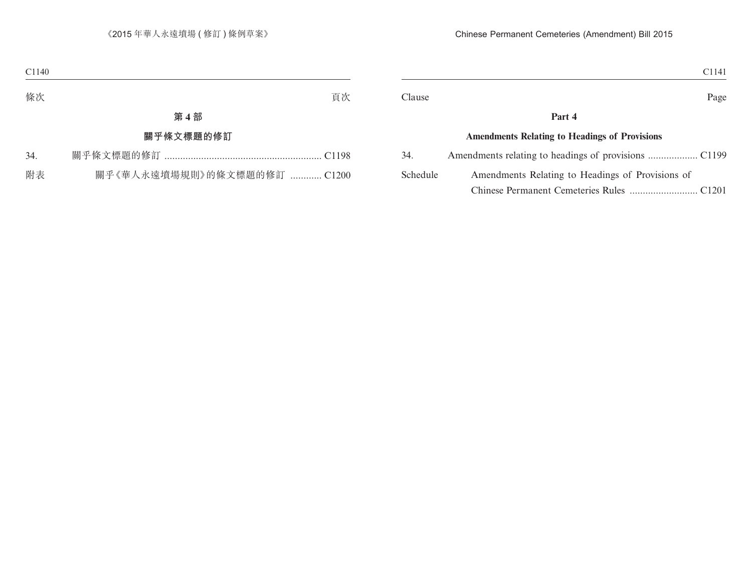|          | C <sub>1141</sub>                                    |
|----------|------------------------------------------------------|
| Clause   | Page                                                 |
|          | Part 4                                               |
|          | <b>Amendments Relating to Headings of Provisions</b> |
| 34.      |                                                      |
| Schedule | Amendments Relating to Headings of Provisions of     |

Chinese Permanent Cemeteries Rules .......................... C1201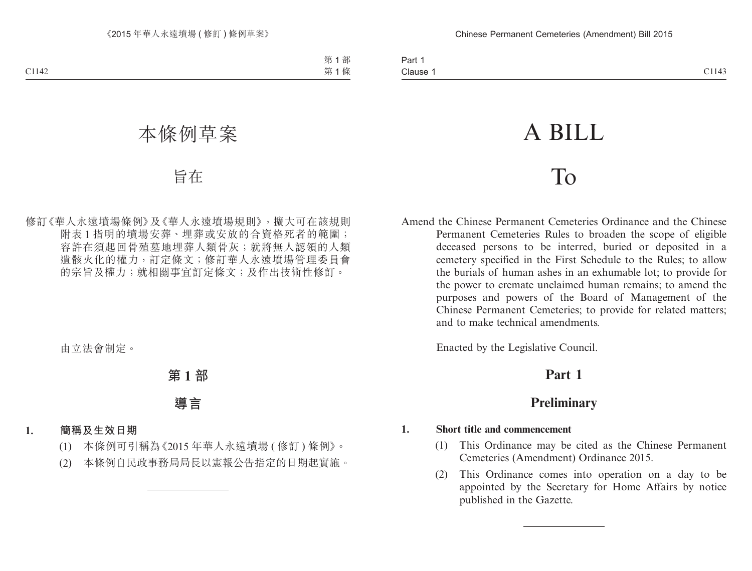# A BILL

# To

Amend the Chinese Permanent Cemeteries Ordinance and the Chinese Permanent Cemeteries Rules to broaden the scope of eligible deceased persons to be interred, buried or deposited in a cemetery specified in the First Schedule to the Rules; to allow the burials of human ashes in an exhumable lot; to provide for the power to cremate unclaimed human remains; to amend the purposes and powers of the Board of Management of the Chinese Permanent Cemeteries; to provide for related matters; and to make technical amendments.

Enacted by the Legislative Council.

# **Part 1**

# **Preliminary**

## **1. Short title and commencement**

- (1) This Ordinance may be cited as the Chinese Permanent Cemeteries (Amendment) Ordinance 2015.
- (2) This Ordinance comes into operation on a day to be appointed by the Secretary for Home Affairs by notice published in the Gazette.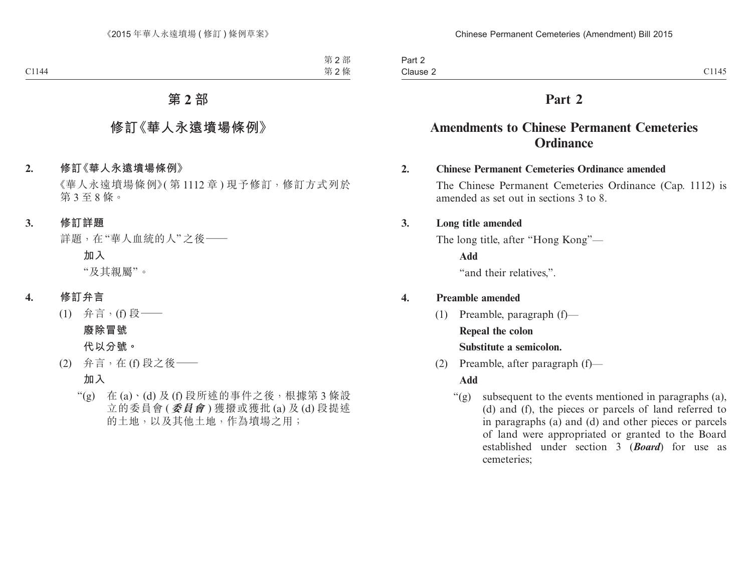# **Part 2**

## **Amendments to Chinese Permanent Cemeteries Ordinance**

## **2. Chinese Permanent Cemeteries Ordinance amended**

The Chinese Permanent Cemeteries Ordinance (Cap. 1112) is amended as set out in sections 3 to 8.

## **3. Long title amended**

The long title, after "Hong Kong"—

**Add**

"and their relatives,".

## **4. Preamble amended**

(1) Preamble, paragraph (f)—

## **Repeal the colon**

## **Substitute a semicolon.**

(2) Preamble, after paragraph (f)—

## **Add**

 $\mathcal{L}(g)$  subsequent to the events mentioned in paragraphs (a), (d) and (f), the pieces or parcels of land referred to in paragraphs (a) and (d) and other pieces or parcels of land were appropriated or granted to the Board established under section 3 (*Board*) for use as cemeteries;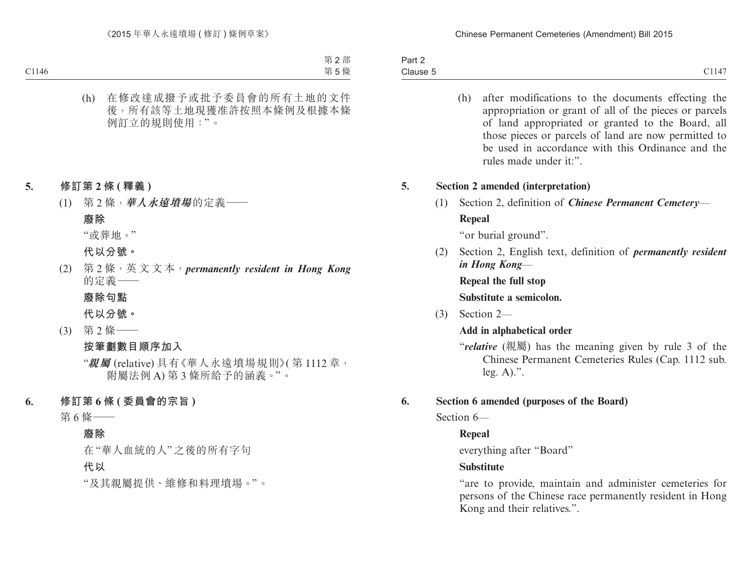Part 2 Clause 5 Clause  $5$  Clause  $\overline{5}$  Clause  $\overline{1147}$ 

> (h) after modifications to the documents effecting the appropriation or grant of all of the pieces or parcels of land appropriated or granted to the Board, all those pieces or parcels of land are now permitted to be used in accordance with this Ordinance and the rules made under it:".

## **5. Section 2 amended (interpretation)**

(1) Section 2, definition of *Chinese Permanent Cemetery*— **Repeal**

"or burial ground".

(2) Section 2, English text, definition of *permanently resident in Hong Kong*—

**Repeal the full stop**

**Substitute a semicolon.**

(3) Section 2—

#### **Add in alphabetical order**

"*relative* (親屬) has the meaning given by rule 3 of the Chinese Permanent Cemeteries Rules (Cap. 1112 sub. leg. A).".

## **6. Section 6 amended (purposes of the Board)**

Section 6-

## **Repeal**

everything after "Board"

## **Substitute**

"are to provide, maintain and administer cemeteries for persons of the Chinese race permanently resident in Hong Kong and their relatives.".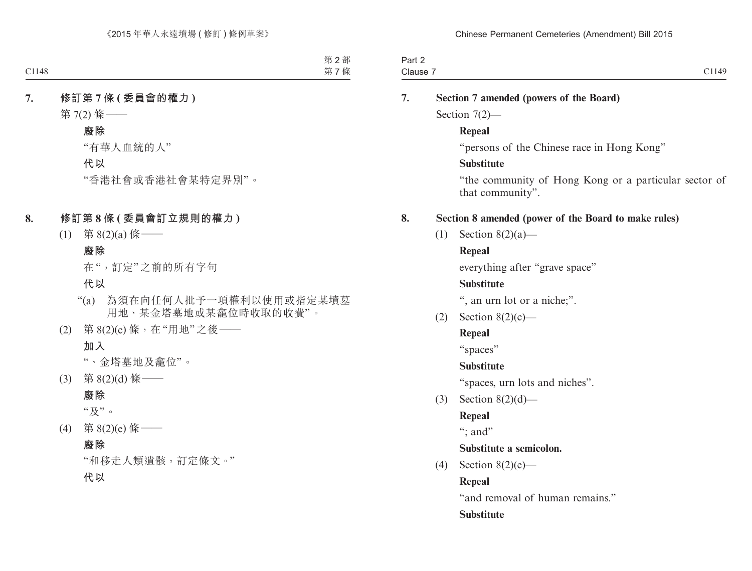| າ~~+<br>∽art ∠ |                |
|----------------|----------------|
| Clause<br>.    | 149<br>--<br>. |
|                |                |

| 7. |     | Section 7 amended (powers of the Board)                                   |  |  |  |  |
|----|-----|---------------------------------------------------------------------------|--|--|--|--|
|    |     | Section $7(2)$ —                                                          |  |  |  |  |
|    |     | <b>Repeal</b>                                                             |  |  |  |  |
|    |     | "persons of the Chinese race in Hong Kong"                                |  |  |  |  |
|    |     | <b>Substitute</b>                                                         |  |  |  |  |
|    |     | "the community of Hong Kong or a particular sector of<br>that community". |  |  |  |  |
| 8. |     | Section 8 amended (power of the Board to make rules)                      |  |  |  |  |
|    | (1) | Section $8(2)(a)$ —                                                       |  |  |  |  |
|    |     | <b>Repeal</b>                                                             |  |  |  |  |
|    |     | everything after "grave space"                                            |  |  |  |  |
|    |     | <b>Substitute</b>                                                         |  |  |  |  |
|    |     | ", an urn lot or a niche;".                                               |  |  |  |  |
|    |     | $(2)$ Section 8(2)(c)—                                                    |  |  |  |  |
|    |     | <b>Repeal</b>                                                             |  |  |  |  |
|    |     | "spaces"                                                                  |  |  |  |  |
|    |     | <b>Substitute</b>                                                         |  |  |  |  |
|    |     | "spaces, urn lots and niches".                                            |  |  |  |  |
|    | (3) | Section $8(2)(d)$ —                                                       |  |  |  |  |
|    |     | <b>Repeal</b>                                                             |  |  |  |  |
|    |     | "; and"                                                                   |  |  |  |  |
|    |     | Substitute a semicolon.                                                   |  |  |  |  |
|    | (4) | Section $8(2)(e)$ —                                                       |  |  |  |  |
|    |     | <b>Repeal</b>                                                             |  |  |  |  |
|    |     | "and removal of human remains."                                           |  |  |  |  |
|    |     | <b>Substitute</b>                                                         |  |  |  |  |
|    |     |                                                                           |  |  |  |  |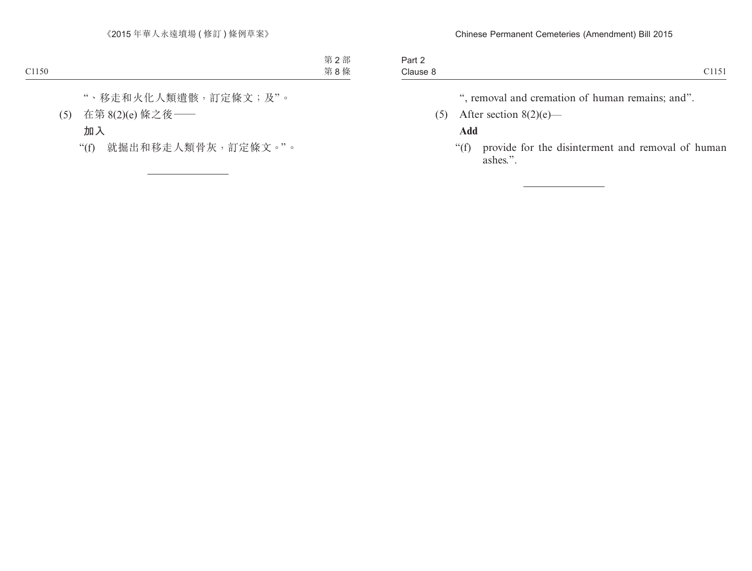| $\overline{\phantom{0}}$<br>Part 2 |                                       |
|------------------------------------|---------------------------------------|
| Clause 8                           | 0.1171<br>$\sim$ $\sim$ $\sim$ $\sim$ |

", removal and cremation of human remains; and".

(5) After section  $8(2)(e)$ —

## **Add**

"(f) provide for the disinterment and removal of human ashes.".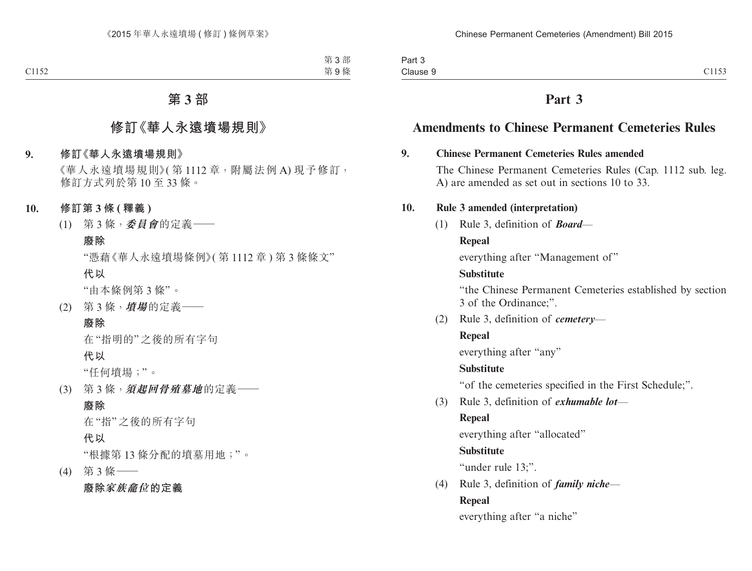| Part 3   |       |
|----------|-------|
| Clause 9 | C1153 |

# **Part 3**

# **Amendments to Chinese Permanent Cemeteries Rules**

## **9. Chinese Permanent Cemeteries Rules amended**

The Chinese Permanent Cemeteries Rules (Cap. 1112 sub. leg. A) are amended as set out in sections 10 to 33.

## **10. Rule 3 amended (interpretation)**

(1) Rule 3, definition of *Board*—

## **Repeal**

everything after "Management of"

## **Substitute**

"the Chinese Permanent Cemeteries established by section 3 of the Ordinance;".

(2) Rule 3, definition of *cemetery*—

## **Repeal**

everything after "any"

## **Substitute**

"of the cemeteries specified in the First Schedule;".

(3) Rule 3, definition of *exhumable lot*—

## **Repeal**

everything after "allocated"

## **Substitute**

"under rule 13:".

(4) Rule 3, definition of *family niche*— **Repeal**

everything after "a niche"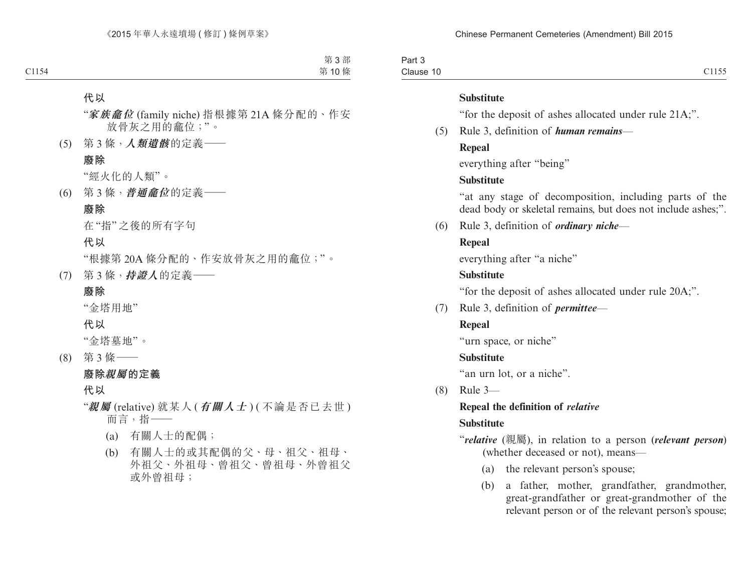Part 3 Clause 10 Clause 10  $\qquad \qquad$  Clause 10

#### **Substitute**

"for the deposit of ashes allocated under rule 21A;".

(5) Rule 3, definition of *human remains*—

## **Repeal**

everything after "being"

## **Substitute**

"at any stage of decomposition, including parts of the dead body or skeletal remains, but does not include ashes;".

(6) Rule 3, definition of *ordinary niche*—

## **Repeal**

everything after "a niche"

## **Substitute**

"for the deposit of ashes allocated under rule 20A;".

(7) Rule 3, definition of *permittee*—

## **Repeal**

"urn space, or niche"

## **Substitute**

"an urn lot, or a niche".

(8) Rule 3—

## **Repeal the definition of** *relative* **Substitute**

"*relative* (親屬), in relation to a person (*relevant person*) (whether deceased or not), means—

- (a) the relevant person's spouse;
- (b) a father, mother, grandfather, grandmother, great-grandfather or great-grandmother of the relevant person or of the relevant person's spouse;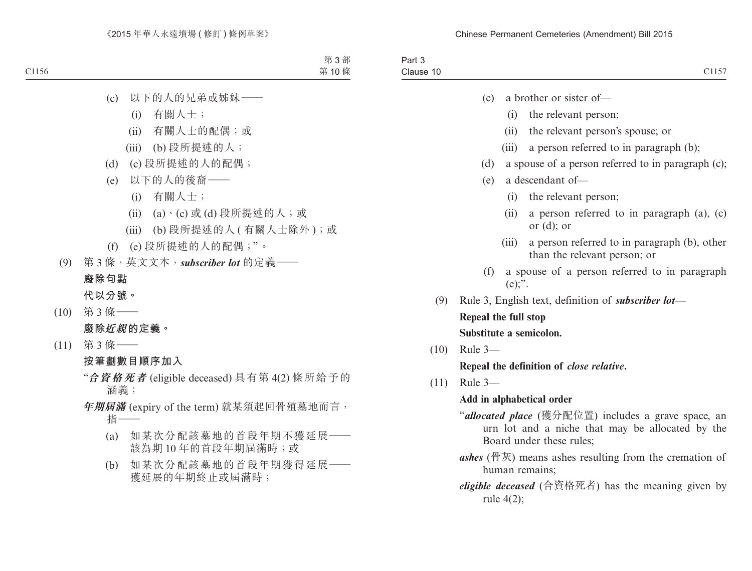| $\overline{\phantom{a}}$<br>າ~~+<br>ail J<br>. |                                      |
|------------------------------------------------|--------------------------------------|
| $\sim$<br>$\sim$ APIIR"<br>Jiduse.             | $\overline{\phantom{a}}$<br>. .<br>- |
|                                                |                                      |

- (c) a brother or sister of—
	- (i) the relevant person;
	- (ii) the relevant person's spouse; or
	- (iii) a person referred to in paragraph (b);
- (d) a spouse of a person referred to in paragraph (c);
- (e) a descendant of—
	- (i) the relevant person;
	- (ii) a person referred to in paragraph (a), (c) or (d); or
	- (iii) a person referred to in paragraph (b), other than the relevant person; or
- (f) a spouse of a person referred to in paragraph  $(e)$ :".
- (9) Rule 3, English text, definition of *subscriber lot* **Repeal the full stop Substitute a semicolon.**
- (10) Rule 3— **Repeal the definition of** *close relative***.**
- (11) Rule 3—

## **Add in alphabetical order**

- "*allocated place* (獲分配位置) includes a grave space, an urn lot and a niche that may be allocated by the Board under these rules;
- *ashes* (骨灰) means ashes resulting from the cremation of human remains;
- *eligible deceased* (合資格死者) has the meaning given by rule 4(2);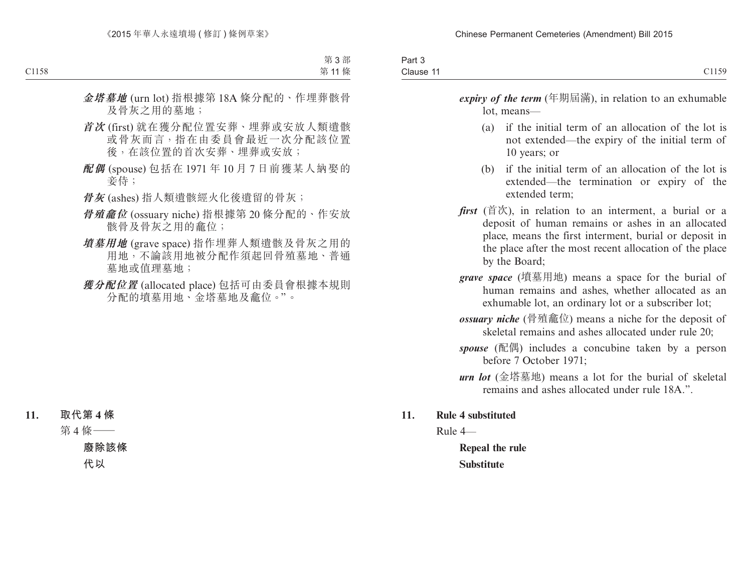| $\overline{\phantom{0}}$<br>Part 3 |               |
|------------------------------------|---------------|
| Clause 11                          | 71159<br>11J/ |

*expiry of the term* (年期屆滿), in relation to an exhumable lot, means—

- (a) if the initial term of an allocation of the lot is not extended—the expiry of the initial term of 10 years; or
- (b) if the initial term of an allocation of the lot is extended—the termination or expiry of the extended term;
- *first* (首次), in relation to an interment, a burial or a deposit of human remains or ashes in an allocated place, means the first interment, burial or deposit in the place after the most recent allocation of the place by the Board;
- *grave space* (墳墓用地) means a space for the burial of human remains and ashes, whether allocated as an exhumable lot, an ordinary lot or a subscriber lot;
- *ossuary niche* (骨殖龕位) means a niche for the deposit of skeletal remains and ashes allocated under rule 20;
- *spouse* (配偶) includes a concubine taken by a person before 7 October 1971;
- *urn lot* (金塔墓地) means a lot for the burial of skeletal remains and ashes allocated under rule 18A.".

## **11. Rule 4 substituted**

Rule 4—

**Repeal the rule Substitute**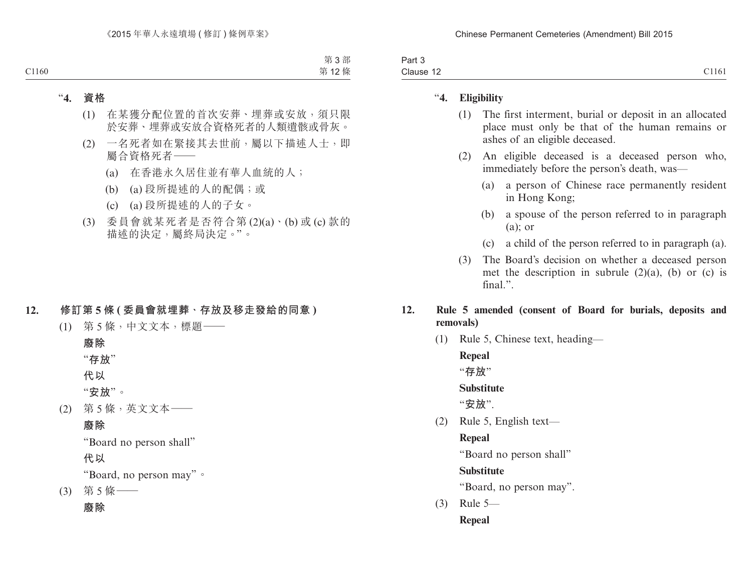| 0.1171<br>$\overline{\phantom{0}}$<br>Clause<br>1101<br>- 14 | $1 - 1$<br>anto |  |
|--------------------------------------------------------------|-----------------|--|
|                                                              |                 |  |

## "**4. Eligibility**

- (1) The first interment, burial or deposit in an allocated place must only be that of the human remains or ashes of an eligible deceased.
- (2) An eligible deceased is a deceased person who, immediately before the person's death, was—
	- (a) a person of Chinese race permanently resident in Hong Kong;
	- (b) a spouse of the person referred to in paragraph (a); or
	- (c) a child of the person referred to in paragraph (a).
- (3) The Board's decision on whether a deceased person met the description in subrule  $(2)(a)$ ,  $(b)$  or  $(c)$  is final.".

## **12. Rule 5 amended (consent of Board for burials, deposits and removals)**

(1) Rule 5, Chinese text, heading—

**Repeal** "**存放**" **Substitute** "**安放**". (2) Rule 5, English text— **Repeal**

"Board no person shall"

**Substitute**

"Board, no person may".

(3) Rule 5— **Repeal**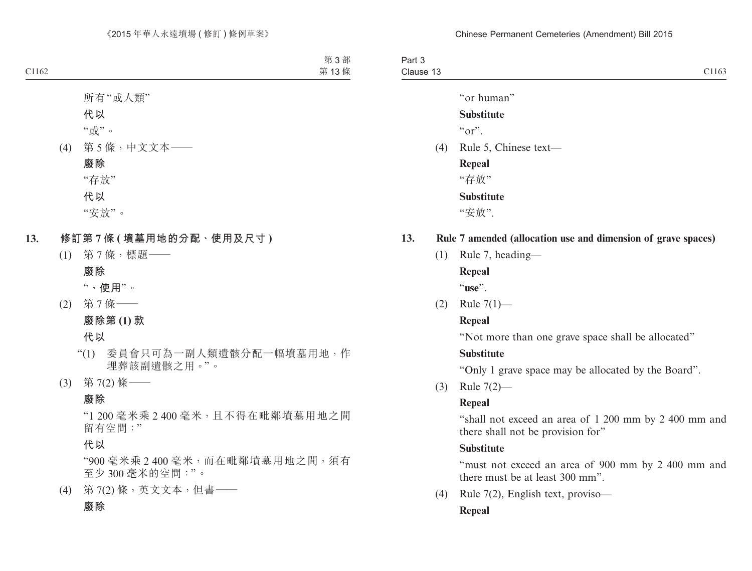Part 3 Clause 13 Clause 13  $\sim$  Clause 13

"or human"

## **Substitute**

 $``\alpha"$ 

(4) Rule 5, Chinese text—

**Repeal**

"存放"

**Substitute**

"安放".

## **13. Rule 7 amended (allocation use and dimension of grave spaces)**

(1) Rule 7, heading—

**Repeal**

"**use**".

(2) Rule 7(1)—

## **Repeal**

"Not more than one grave space shall be allocated"

## **Substitute**

"Only 1 grave space may be allocated by the Board".

(3) Rule 7(2)—

## **Repeal**

"shall not exceed an area of 1 200 mm by 2 400 mm and there shall not be provision for"

## **Substitute**

"must not exceed an area of 900 mm by 2 400 mm and there must be at least 300 mm".

(4) Rule 7(2), English text, proviso—

## **Repeal**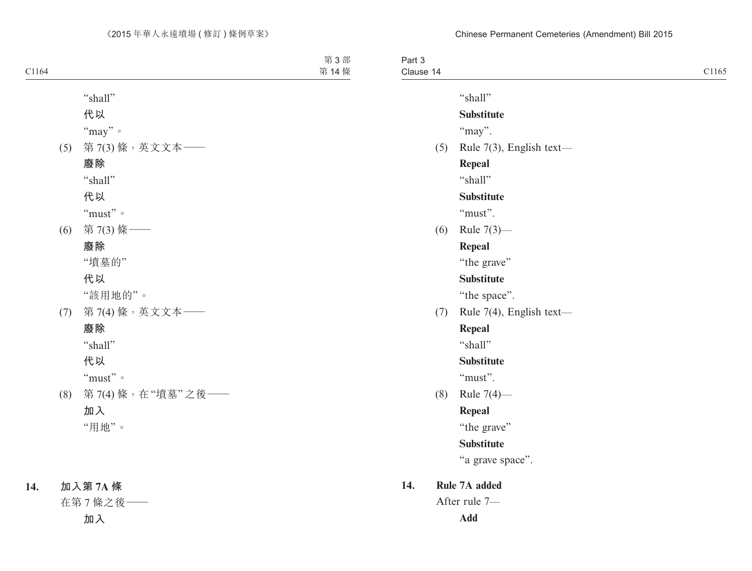| Part 3    |                          |
|-----------|--------------------------|
| Clause 14 | C1165                    |
|           | "shall"                  |
|           | <b>Substitute</b>        |
|           | "may".                   |
| (5)       | Rule 7(3), English text- |
|           | Repeal                   |
|           | "shall"                  |
|           | <b>Substitute</b>        |
|           | "must".                  |
| (6)       | Rule $7(3)$ —            |
|           | Repeal                   |
|           | "the grave"              |
|           | <b>Substitute</b>        |
|           | "the space".             |
| (7)       | Rule 7(4), English text- |
|           | Repeal                   |
|           | "shall"                  |
|           | <b>Substitute</b>        |
|           | "must".                  |
| (8)       | Rule $7(4)$ —            |
|           | Repeal                   |
|           | "the grave"              |
|           | <b>Substitute</b>        |
|           | "a grave space".         |
| 14.       | Rule 7A added            |
|           | After rule 7-            |
|           | <b>Add</b>               |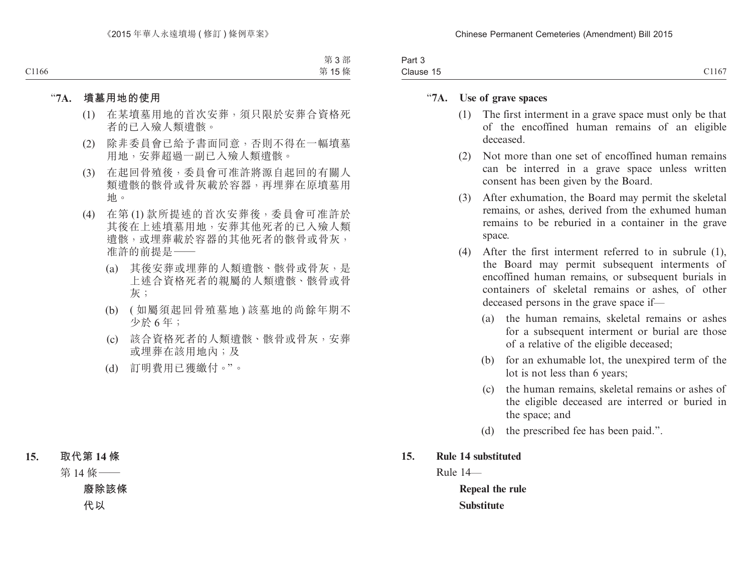| $J \cap r +$<br>Γαιιν                  |       |
|----------------------------------------|-------|
| $\sim$ .<br>$\rightarrow$<br>Clause 15 | C1167 |

## "**7A. Use of grave spaces**

- (1) The first interment in a grave space must only be that of the encoffined human remains of an eligible deceased.
- (2) Not more than one set of encoffined human remains can be interred in a grave space unless written consent has been given by the Board.
- (3) After exhumation, the Board may permit the skeletal remains, or ashes, derived from the exhumed human remains to be reburied in a container in the grave space.
- (4) After the first interment referred to in subrule (1), the Board may permit subsequent interments of encoffined human remains, or subsequent burials in containers of skeletal remains or ashes, of other deceased persons in the grave space if—
	- (a) the human remains, skeletal remains or ashes for a subsequent interment or burial are those of a relative of the eligible deceased;
	- (b) for an exhumable lot, the unexpired term of the lot is not less than 6 years;
	- (c) the human remains, skeletal remains or ashes of the eligible deceased are interred or buried in the space; and
	- (d) the prescribed fee has been paid.".
- **15. Rule 14 substituted**

Rule 14—

**Repeal the rule Substitute**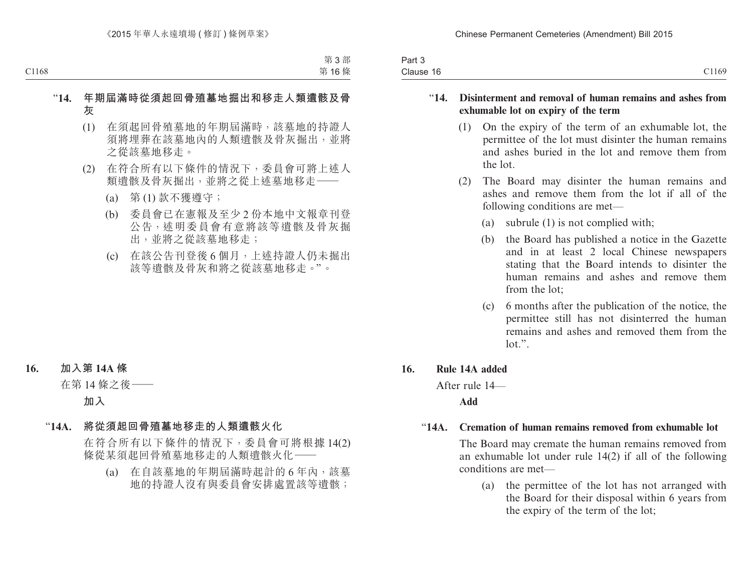| $\sim$<br>$3.0 - 1.0$<br>Pall o |                            |
|---------------------------------|----------------------------|
| Clause 16                       | 01170<br>C <sub>1109</sub> |

## "**14. Disinterment and removal of human remains and ashes from exhumable lot on expiry of the term**

- (1) On the expiry of the term of an exhumable lot, the permittee of the lot must disinter the human remains and ashes buried in the lot and remove them from the lot.
- (2) The Board may disinter the human remains and ashes and remove them from the lot if all of the following conditions are met—
	- (a) subrule (1) is not complied with;
	- (b) the Board has published a notice in the Gazette and in at least 2 local Chinese newspapers stating that the Board intends to disinter the human remains and ashes and remove them from the lot;
	- (c) 6 months after the publication of the notice, the permittee still has not disinterred the human remains and ashes and removed them from the  $\text{lot.}$ ".

## **16. Rule 14A added**

After rule 14—

## **Add**

## "**14A. Cremation of human remains removed from exhumable lot**

The Board may cremate the human remains removed from an exhumable lot under rule 14(2) if all of the following conditions are met—

(a) the permittee of the lot has not arranged with the Board for their disposal within 6 years from the expiry of the term of the lot;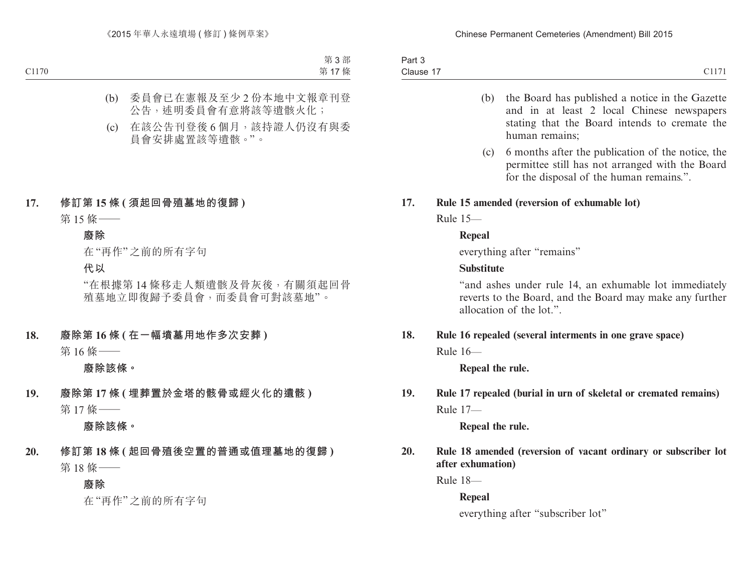| Part 3    |                 |
|-----------|-----------------|
| Clause 17 | C1171<br>0.1111 |

- (b) the Board has published a notice in the Gazette and in at least 2 local Chinese newspapers stating that the Board intends to cremate the human remains;
- (c) 6 months after the publication of the notice, the permittee still has not arranged with the Board for the disposal of the human remains.".

## **17. Rule 15 amended (reversion of exhumable lot)**

Rule 15—

## **Repeal**

everything after "remains"

## **Substitute**

"and ashes under rule 14, an exhumable lot immediately reverts to the Board, and the Board may make any further allocation of the lot."

# **18. Rule 16 repealed (several interments in one grave space)**

Rule 16—

**Repeal the rule.**

## **19. Rule 17 repealed (burial in urn of skeletal or cremated remains)** Rule 17—

**Repeal the rule.**

**20. Rule 18 amended (reversion of vacant ordinary or subscriber lot after exhumation)**

Rule 18—

**Repeal**

everything after "subscriber lot"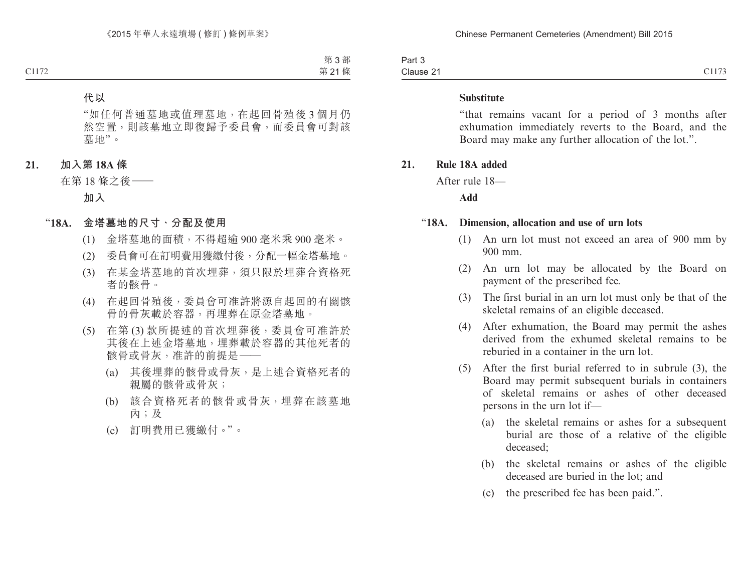Part 3 Clause 21 Clause 21 Clause 21 Clause 21 Clause 21 Clause 21 Clause 21 Clause 21 Clause 21 Clause 21 Clause 21 Clause 21 Clause 21 Clause 21 Clause 21 Clause 21 Clause 21 Clause 21 Clause 21 Clause 21 Clause 21 Clause 21 Clause 21 Cl

#### **Substitute**

"that remains vacant for a period of 3 months after exhumation immediately reverts to the Board, and the Board may make any further allocation of the lot.".

#### **21. Rule 18A added**

After rule 18—

**Add**

#### "**18A. Dimension, allocation and use of urn lots**

- (1) An urn lot must not exceed an area of 900 mm by 900 mm.
- (2) An urn lot may be allocated by the Board on payment of the prescribed fee.
- (3) The first burial in an urn lot must only be that of the skeletal remains of an eligible deceased.
- (4) After exhumation, the Board may permit the ashes derived from the exhumed skeletal remains to be reburied in a container in the urn lot.
- (5) After the first burial referred to in subrule (3), the Board may permit subsequent burials in containers of skeletal remains or ashes of other deceased persons in the urn lot if—
	- (a) the skeletal remains or ashes for a subsequent burial are those of a relative of the eligible deceased;
	- (b) the skeletal remains or ashes of the eligible deceased are buried in the lot; and
	- (c) the prescribed fee has been paid.".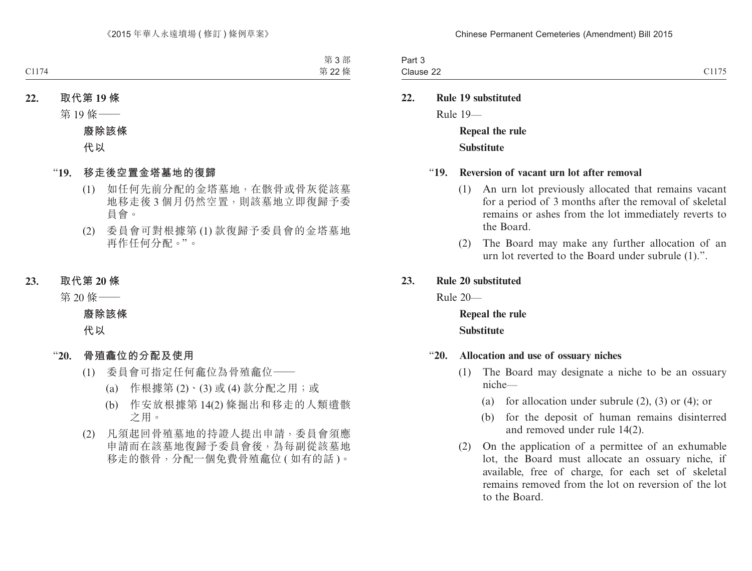| art 3     |       |
|-----------|-------|
| Clause 22 | C1177 |

**22. Rule 19 substituted**

Rule 19—

**Repeal the rule Substitute**

#### "**19. Reversion of vacant urn lot after removal**

- (1) An urn lot previously allocated that remains vacant for a period of 3 months after the removal of skeletal remains or ashes from the lot immediately reverts to the Board.
- (2) The Board may make any further allocation of an urn lot reverted to the Board under subrule (1).".

#### **23. Rule 20 substituted**

Rule 20—

**Repeal the rule Substitute**

## "**20. Allocation and use of ossuary niches**

- (1) The Board may designate a niche to be an ossuary niche—
	- (a) for allocation under subrule  $(2)$ ,  $(3)$  or  $(4)$ ; or
	- (b) for the deposit of human remains disinterred and removed under rule 14(2).
- (2) On the application of a permittee of an exhumable lot, the Board must allocate an ossuary niche, if available, free of charge, for each set of skeletal remains removed from the lot on reversion of the lot to the Board.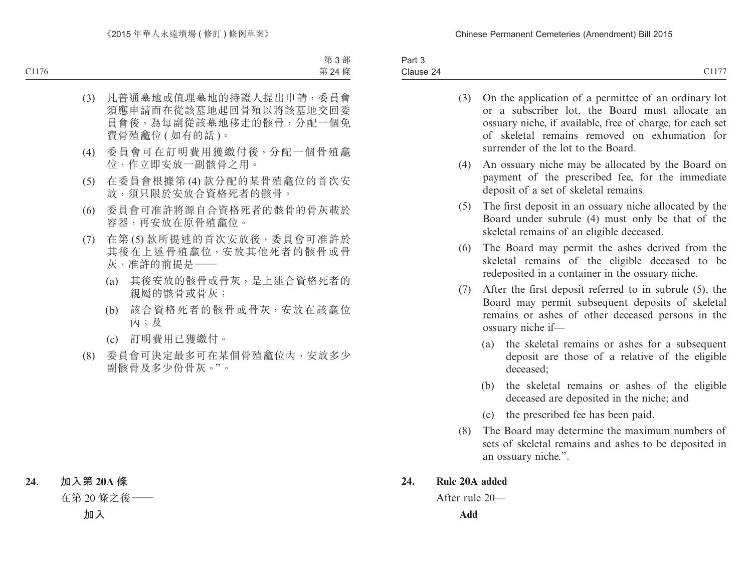Part 3 Clause 24 Clause 24  $\sim$  Clause 24  $\sim$  Clause 24  $\sim$  Clause 24  $\sim$  Clause 24  $\sim$  Clause 25  $\sim$  Clause 26  $\sim$  Clause 26  $\sim$  Clause 26  $\sim$  Clause 26  $\sim$  Clause 26  $\sim$  Clause 26  $\sim$  Clause 26  $\sim$  Clause 26  $\sim$  Clause 26

- (3) On the application of a permittee of an ordinary lot or a subscriber lot, the Board must allocate an ossuary niche, if available, free of charge, for each set of skeletal remains removed on exhumation for surrender of the lot to the Board.
- (4) An ossuary niche may be allocated by the Board on payment of the prescribed fee, for the immediate deposit of a set of skeletal remains.
- (5) The first deposit in an ossuary niche allocated by the Board under subrule (4) must only be that of the skeletal remains of an eligible deceased.
- (6) The Board may permit the ashes derived from the skeletal remains of the eligible deceased to be redeposited in a container in the ossuary niche.
- (7) After the first deposit referred to in subrule (5), the Board may permit subsequent deposits of skeletal remains or ashes of other deceased persons in the ossuary niche if—
	- (a) the skeletal remains or ashes for a subsequent deposit are those of a relative of the eligible deceased;
	- (b) the skeletal remains or ashes of the eligible deceased are deposited in the niche; and
	- (c) the prescribed fee has been paid.
- (8) The Board may determine the maximum numbers of sets of skeletal remains and ashes to be deposited in an ossuary niche.".

## **24. Rule 20A added**

After rule 20—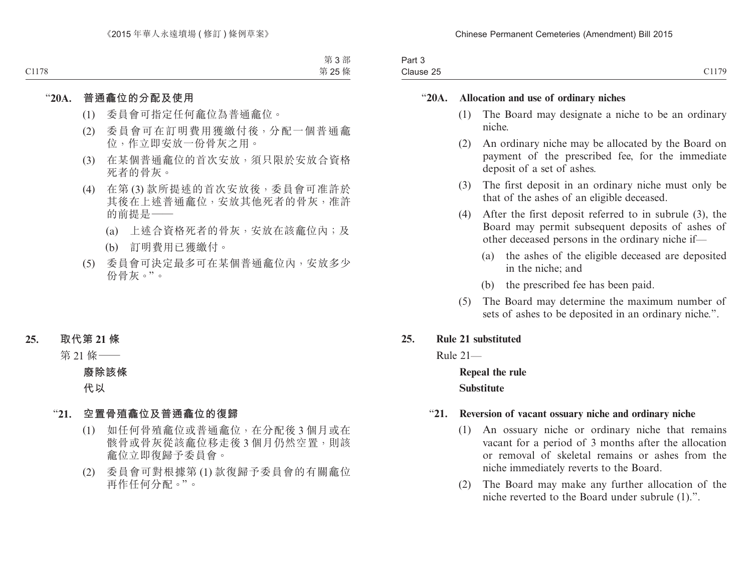| $\sim$<br>າ~~+<br>ail J |                                   |
|-------------------------|-----------------------------------|
| Clause 25               | $\sim$ $\sim$ $\sim$<br>- - - - - |

## "**20A. Allocation and use of ordinary niches**

- (1) The Board may designate a niche to be an ordinary niche.
- (2) An ordinary niche may be allocated by the Board on payment of the prescribed fee, for the immediate deposit of a set of ashes.
- (3) The first deposit in an ordinary niche must only be that of the ashes of an eligible deceased.
- (4) After the first deposit referred to in subrule (3), the Board may permit subsequent deposits of ashes of other deceased persons in the ordinary niche if—
	- (a) the ashes of the eligible deceased are deposited in the niche; and
	- (b) the prescribed fee has been paid.
- (5) The Board may determine the maximum number of sets of ashes to be deposited in an ordinary niche.".

## **25. Rule 21 substituted**

Rule 21—

## **Repeal the rule Substitute**

## "**21. Reversion of vacant ossuary niche and ordinary niche**

- (1) An ossuary niche or ordinary niche that remains vacant for a period of 3 months after the allocation or removal of skeletal remains or ashes from the niche immediately reverts to the Board.
- (2) The Board may make any further allocation of the niche reverted to the Board under subrule (1).".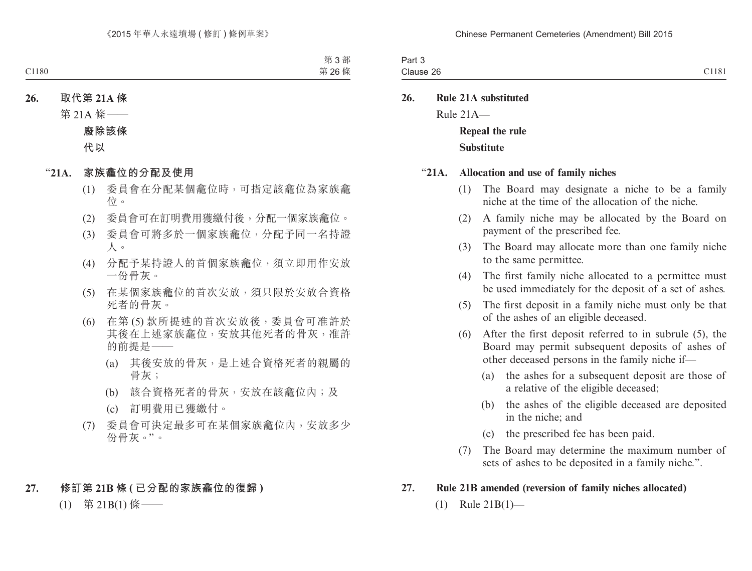| $J \cap r^+$<br>ail J |                                                |
|-----------------------|------------------------------------------------|
| $\cdots$<br>$\cdots$  | C1181<br>റമ<br>۱۱۹۵<br>$\sqrt{ }$<br>Uiduot Zu |

**26. Rule 21A substituted** Rule 21A— **Repeal the rule Substitute**

#### "**21A. Allocation and use of family niches**

- (1) The Board may designate a niche to be a family niche at the time of the allocation of the niche.
- (2) A family niche may be allocated by the Board on payment of the prescribed fee.
- (3) The Board may allocate more than one family niche to the same permittee.
- (4) The first family niche allocated to a permittee must be used immediately for the deposit of a set of ashes.
- (5) The first deposit in a family niche must only be that of the ashes of an eligible deceased.
- (6) After the first deposit referred to in subrule (5), the Board may permit subsequent deposits of ashes of other deceased persons in the family niche if—
	- (a) the ashes for a subsequent deposit are those of a relative of the eligible deceased;
	- (b) the ashes of the eligible deceased are deposited in the niche; and
	- (c) the prescribed fee has been paid.
- (7) The Board may determine the maximum number of sets of ashes to be deposited in a family niche.".

## **27. Rule 21B amended (reversion of family niches allocated)**

 $(1)$  Rule 21B(1)—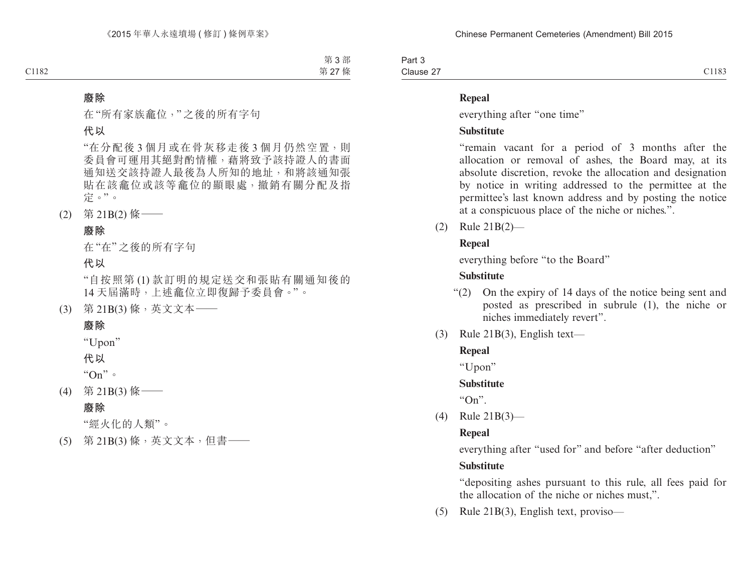Part 3 Clause 27 Clause 27 Clause 27 Clause 27 Clause 27 Clause 27 Clause 27 Clause 27 Clause 27 Clause 27 Clause 27 Clause 27 Clause 27 Clause 27 Clause 27 Clause 27 Clause 27 Clause 27 Clause 27 Clause 27 Clause 27 Clause 27 Clause 27 Cl

## **Repeal**

everything after "one time"

## **Substitute**

"remain vacant for a period of 3 months after the allocation or removal of ashes, the Board may, at its absolute discretion, revoke the allocation and designation by notice in writing addressed to the permittee at the permittee's last known address and by posting the notice at a conspicuous place of the niche or niches.".

(2) Rule 21B(2)—

## **Repeal**

everything before "to the Board"

## **Substitute**

- "(2) On the expiry of 14 days of the notice being sent and posted as prescribed in subrule (1), the niche or niches immediately revert".
- $(3)$  Rule 21B(3), English text—

## **Repeal**

"Upon"

## **Substitute**

 $"On"$ 

(4) Rule 21B(3)—

## **Repeal**

everything after "used for" and before "after deduction"

## **Substitute**

"depositing ashes pursuant to this rule, all fees paid for the allocation of the niche or niches must,".

(5) Rule 21B(3), English text, proviso—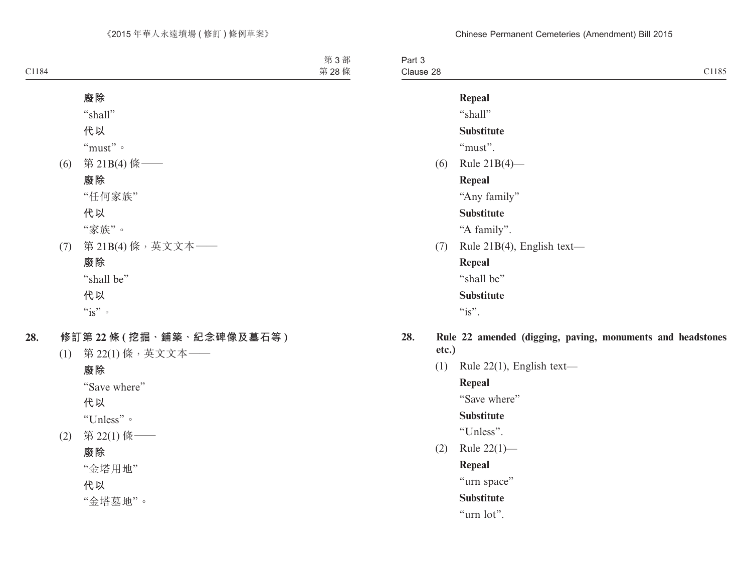Part 3 Clause 28 Clause 28  $\sim$  Clause 28  $\sim$  Clause 28  $\sim$  Clause 28  $\sim$  Clause 28  $\sim$  Clause 28  $\sim$  Clause 28  $\sim$  Clause 28  $\sim$  Clause 28  $\sim$  Clause 28  $\sim$  Clause 28  $\sim$  Clause 28  $\sim$  Clause 28  $\sim$  Clause 28  $\sim$  Clause 28

**Repeal** "shall"

## **Substitute**

"must"

(6) Rule 21B(4)—

## **Repeal**

"Any family"

## **Substitute**

"A family".

(7) Rule 21B(4), English text—

**Repeal** "shall be"

## **Substitute**

 $\mathcal{C}_1$  is".

- **28. Rule 22 amended (digging, paving, monuments and headstones etc.)**
	- (1) Rule 22(1), English text—

**Repeal**

"Save where"

#### **Substitute**

"Unless".

(2) Rule 22(1)—

**Repeal**

"urn space"

## **Substitute**

"urn lot".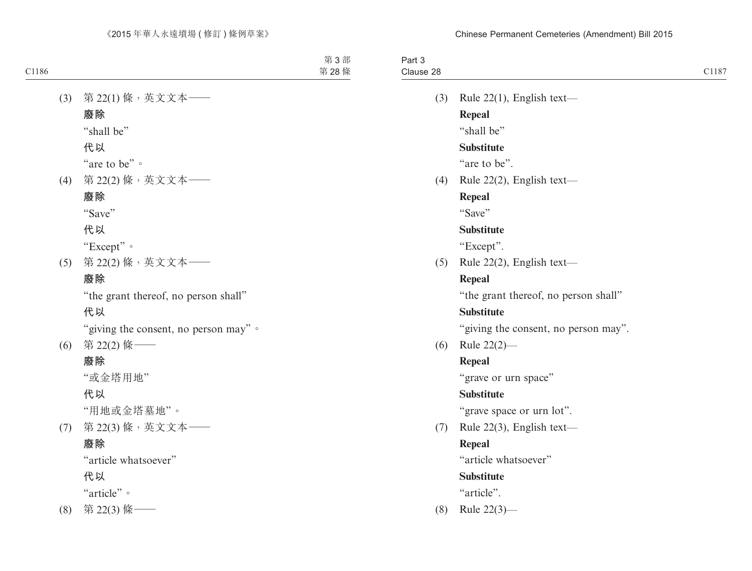|                                      | Clause 28 |
|--------------------------------------|-----------|
|                                      |           |
| Rule $22(1)$ , English text-<br>(3)  |           |
| <b>Repeal</b>                        |           |
| "shall be"                           |           |
| <b>Substitute</b>                    |           |
| "are to be".                         |           |
| Rule 22(2), English text-<br>(4)     |           |
| Repeal                               |           |
| "Save"                               |           |
| <b>Substitute</b>                    |           |
| "Except".                            |           |
| Rule 22(2), English text-<br>(5)     |           |
| <b>Repeal</b>                        |           |
| "the grant thereof, no person shall" |           |
| <b>Substitute</b>                    |           |
| "giving the consent, no person may". |           |
| Rule $22(2)$ —<br>(6)                |           |
| <b>Repeal</b>                        |           |
| "grave or urn space"                 |           |
| <b>Substitute</b>                    |           |
| "grave space or urn lot".            |           |
| Rule 22(3), English text-<br>(7)     |           |
| <b>Repeal</b>                        |           |
| "article whatsoever"                 |           |
| <b>Substitute</b>                    |           |
| "article".                           |           |
| Rule $22(3)$ —                       | (8)       |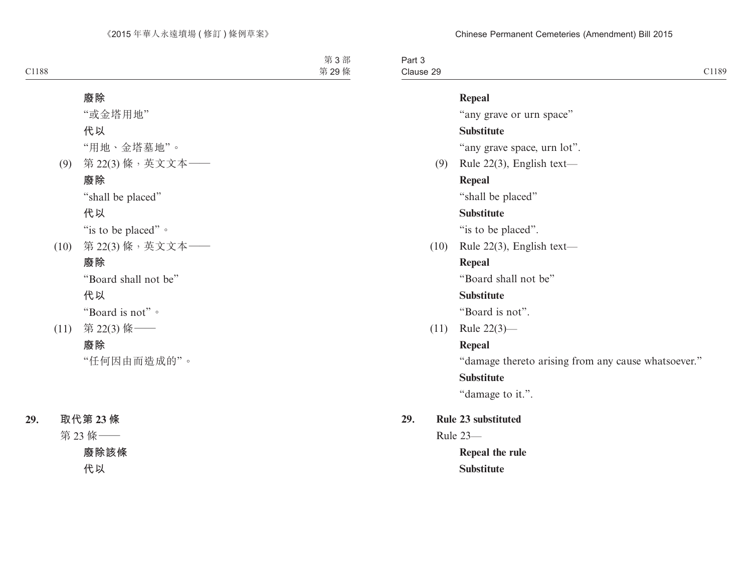Part 3 Clause 29 Clause 29 and 2011 and 2011 and 2012 and 2012 and 2012 and 2012 and 2012 and 2012 and 2012 and 2012 and 2013 and 2013 and 2013 and 2013 and 2013 and 2013 and 2013 and 2013 and 2013 and 2013 and 2013 and 2013 and 2013 and 2

## **Repeal**

"any grave or urn space"

## **Substitute**

"any grave space, urn lot".

(9) Rule 22(3), English text— **Repeal**

"shall be placed"

## **Substitute**

"is to be placed".

(10) Rule 22(3), English text—

## **Repeal**

"Board shall not be"

## **Substitute**

"Board is not".

(11) Rule 22(3)—

## **Repeal**

"damage thereto arising from any cause whatsoever."

## **Substitute**

"damage to it.".

**29. Rule 23 substituted**

Rule 23—

**Repeal the rule Substitute**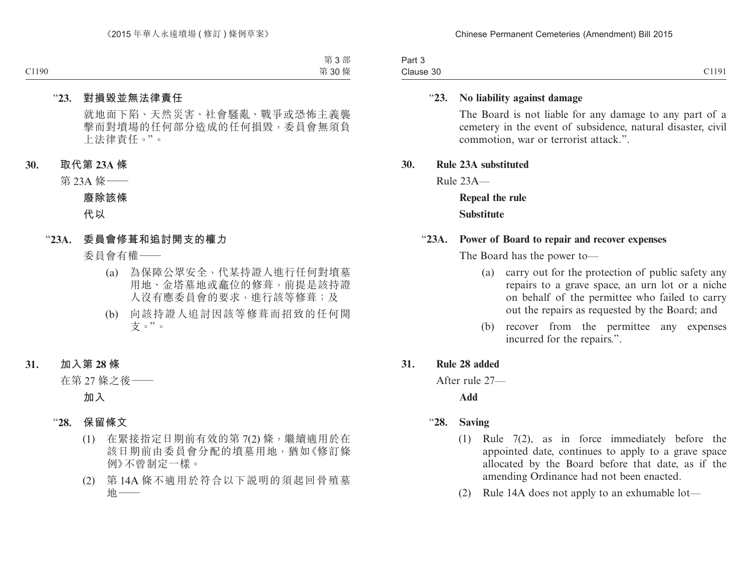| Part 3    |       |
|-----------|-------|
| Clause 30 | C1191 |

## "**23. No liability against damage**

The Board is not liable for any damage to any part of a cemetery in the event of subsidence, natural disaster, civil commotion, war or terrorist attack.".

#### **30. Rule 23A substituted**

Rule 23A—

**Repeal the rule Substitute**

#### "**23A. Power of Board to repair and recover expenses**

The Board has the power to—

- (a) carry out for the protection of public safety any repairs to a grave space, an urn lot or a niche on behalf of the permittee who failed to carry out the repairs as requested by the Board; and
- (b) recover from the permittee any expenses incurred for the repairs.".

#### **31. Rule 28 added**

After rule 27—

**Add**

- "**28. Saving**
	- (1) Rule 7(2), as in force immediately before the appointed date, continues to apply to a grave space allocated by the Board before that date, as if the amending Ordinance had not been enacted.
	- (2) Rule 14A does not apply to an exhumable lot—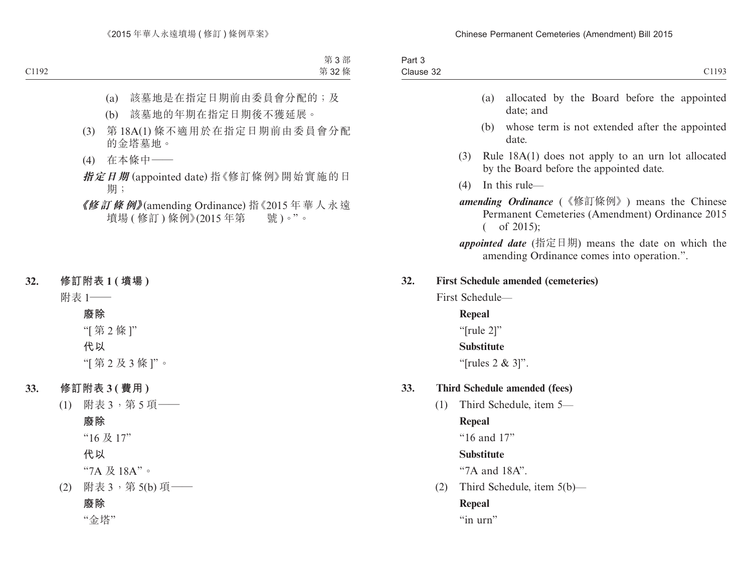| C1193                                                                                                           |                      | Part 3<br>Clause 32 |  |
|-----------------------------------------------------------------------------------------------------------------|----------------------|---------------------|--|
| allocated by the Board before the appointed<br>date; and                                                        | (a)                  |                     |  |
| whose term is not extended after the appointed<br>date.                                                         | (b)                  |                     |  |
| Rule $18A(1)$ does not apply to an urn lot allocated<br>by the Board before the appointed date.                 | (3)                  |                     |  |
| In this rule-                                                                                                   | (4)                  |                     |  |
| amending Ordinance (《修訂條例》) means the Chinese<br>Permanent Cemeteries (Amendment) Ordinance 2015<br>of $2015$ ; | $\left($             |                     |  |
| appointed date (指定日期) means the date on which the<br>amending Ordinance comes into operation.".                 |                      |                     |  |
| <b>First Schedule amended (cemeteries)</b>                                                                      |                      | 32.                 |  |
|                                                                                                                 | First Schedule-      |                     |  |
|                                                                                                                 | Repeal               |                     |  |
|                                                                                                                 | " $[rule 2]$ "       |                     |  |
|                                                                                                                 | <b>Substitute</b>    |                     |  |
|                                                                                                                 | "[rules $2 \& 3$ ]". |                     |  |
| <b>Third Schedule amended (fees)</b>                                                                            |                      | 33.                 |  |
| Third Schedule, item 5-                                                                                         |                      | (1)                 |  |
|                                                                                                                 | Repeal               |                     |  |
|                                                                                                                 | "16 and 17"          |                     |  |
|                                                                                                                 | <b>Substitute</b>    |                     |  |
|                                                                                                                 | "7A and 18A".        |                     |  |
| Third Schedule, item 5(b)—                                                                                      |                      | (2)                 |  |
|                                                                                                                 | <b>Repeal</b>        |                     |  |

"in urn"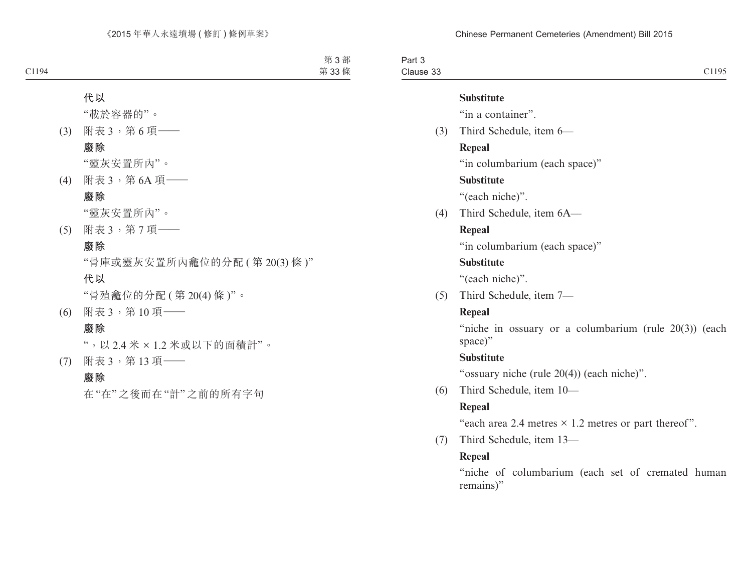Part 3 Clause 33 Clause 33 Clause 33

#### **Substitute**

"in a container".

(3) Third Schedule, item 6—

## **Repeal**

"in columbarium (each space)"

## **Substitute**

"(each niche)".

(4) Third Schedule, item 6A—

## **Repeal**

"in columbarium (each space)"

## **Substitute**

"(each niche)".

(5) Third Schedule, item 7—

## **Repeal**

"niche in ossuary or a columbarium (rule 20(3)) (each space)"

## **Substitute**

"ossuary niche (rule 20(4)) (each niche)".

(6) Third Schedule, item 10—

## **Repeal**

"each area 2.4 metres  $\times$  1.2 metres or part thereof".

(7) Third Schedule, item 13—

## **Repeal**

"niche of columbarium (each set of cremated human remains)"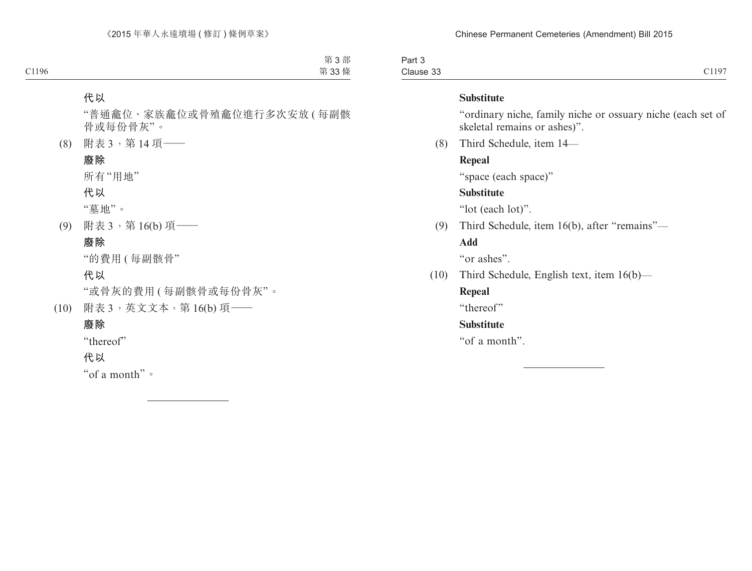Part 3 Clause 33 Clause 33 Clause 36 Clause 36 Clause 36 Clause 36 Clause 36 Clause 36 Clause 36 Clause 36 Clause 36 Clause 36

#### **Substitute**

"ordinary niche, family niche or ossuary niche (each set of skeletal remains or ashes)".

(8) Third Schedule, item 14—

## **Repeal**

"space (each space)"

## **Substitute**

"lot (each lot)".

(9) Third Schedule, item 16(b), after "remains"—

## **Add**

"or ashes".

(10) Third Schedule, English text, item 16(b)—

## **Repeal**

"thereof"

## **Substitute**

"of a month".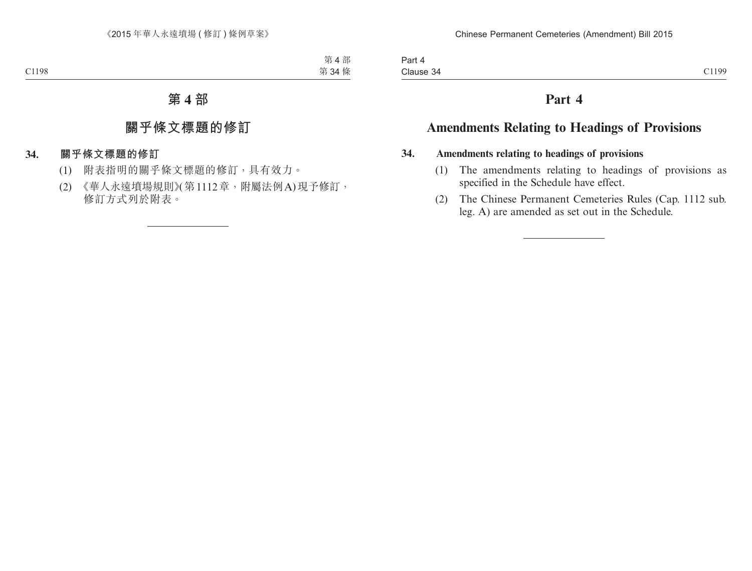# **Part 4**

# **Amendments Relating to Headings of Provisions**

## **34. Amendments relating to headings of provisions**

- (1) The amendments relating to headings of provisions as specified in the Schedule have effect.
- (2) The Chinese Permanent Cemeteries Rules (Cap. 1112 sub. leg. A) are amended as set out in the Schedule.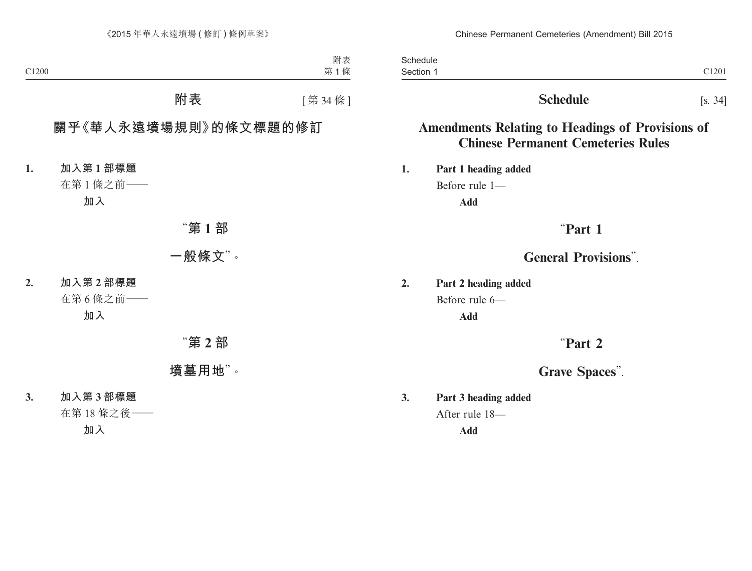Section 1 and 200 and 200 and 200 and 200 and 200 and 200 and 200 and 200 and 200 and 200 and 200 and 200 and 200 and 200 and 200 and 200 and 200 and 200 and 200 and 200 and 200 and 200 and 200 and 200 and 200 and 200 and **Schedule** Section 1

# **Schedule** [s. 34]

# **Amendments Relating to Headings of Provisions of Chinese Permanent Cemeteries Rules**

**1. Part 1 heading added** Before rule 1— **Add**

# "**Part 1**

# **General Provisions**".

**2. Part 2 heading added** Before rule 6— **Add**

# "**Part 2**

# **Grave Spaces**".

**3. Part 3 heading added** After rule 18—

**Add**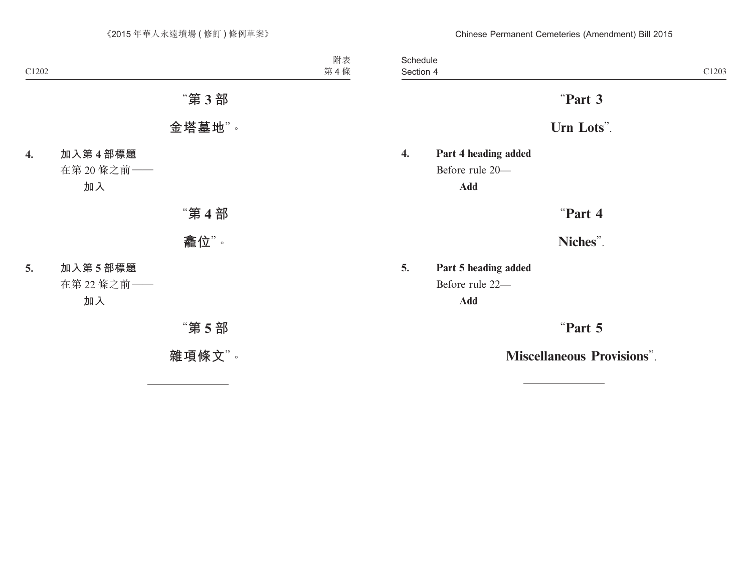Section 4 and 2020 and 2020 and 2020 and 2020 and 2020 and 2020 and 2020 and 2020 and 2020 and 2020 and 2020 and 2020 and 2020 and 2020 and 2020 and 2020 and 2020 and 2020 and 2020 and 2020 and 2020 and 2020 and 2020 and 2 **Schedule** Section 4

# "**Part 3**

# **Urn Lots**".

**4. Part 4 heading added** Before rule 20—

**Add**

"**Part 4**

**Niches**".

**5. Part 5 heading added** Before rule 22— **Add**

"**Part 5**

**Miscellaneous Provisions**".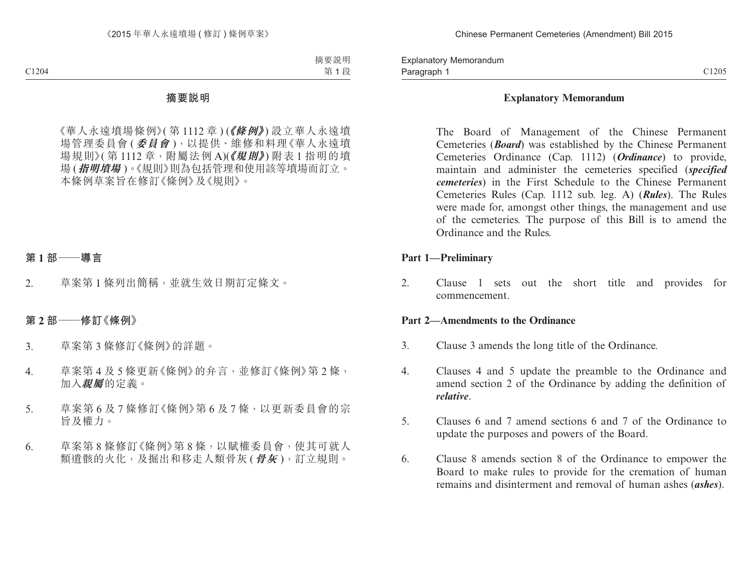Paragraph 1 and 2012 C1205 Explanatory Memorandum Paragraph 1

## **Explanatory Memorandum**

The Board of Management of the Chinese Permanent Cemeteries (*Board*) was established by the Chinese Permanent Cemeteries Ordinance (Cap. 1112) (*Ordinance*) to provide, maintain and administer the cemeteries specified (*specified cemeteries*) in the First Schedule to the Chinese Permanent Cemeteries Rules (Cap. 1112 sub. leg. A) (*Rules*). The Rules were made for, amongst other things, the management and use of the cemeteries. The purpose of this Bill is to amend the Ordinance and the Rules.

## **Part 1—Preliminary**

2. Clause 1 sets out the short title and provides for commencement.

## **Part 2—Amendments to the Ordinance**

- 3. Clause 3 amends the long title of the Ordinance.
- 4. Clauses 4 and 5 update the preamble to the Ordinance and amend section 2 of the Ordinance by adding the definition of *relative*.
- 5. Clauses 6 and 7 amend sections 6 and 7 of the Ordinance to update the purposes and powers of the Board.
- 6. Clause 8 amends section 8 of the Ordinance to empower the Board to make rules to provide for the cremation of human remains and disinterment and removal of human ashes (*ashes*).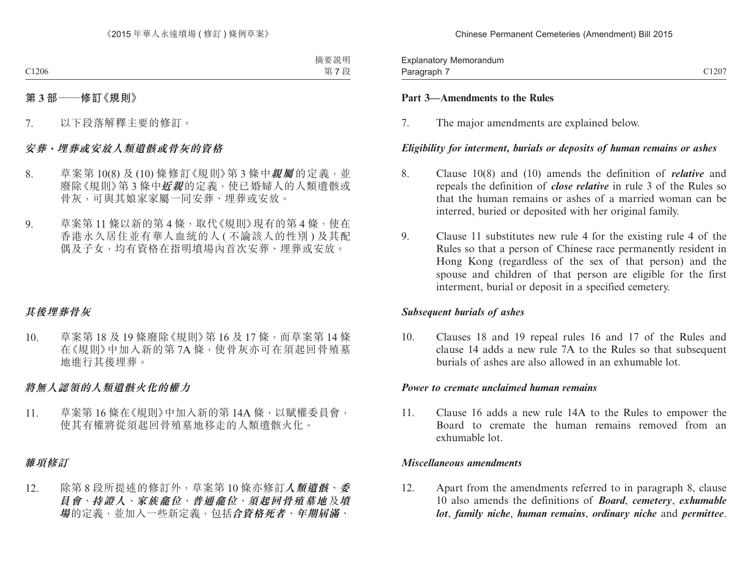Paragraph 7 and 2012 C1207 Explanatory Memorandum Paragraph 7

## **Part 3—Amendments to the Rules**

7. The major amendments are explained below.

## *Eligibility for interment, burials or deposits of human remains or ashes*

- 8. Clause 10(8) and (10) amends the definition of *relative* and repeals the definition of *close relative* in rule 3 of the Rules so that the human remains or ashes of a married woman can be interred, buried or deposited with her original family.
- 9. Clause 11 substitutes new rule 4 for the existing rule 4 of the Rules so that a person of Chinese race permanently resident in Hong Kong (regardless of the sex of that person) and the spouse and children of that person are eligible for the first interment, burial or deposit in a specified cemetery.

## *Subsequent burials of ashes*

10. Clauses 18 and 19 repeal rules 16 and 17 of the Rules and clause 14 adds a new rule 7A to the Rules so that subsequent burials of ashes are also allowed in an exhumable lot.

## *Power to cremate unclaimed human remains*

11. Clause 16 adds a new rule 14A to the Rules to empower the Board to cremate the human remains removed from an exhumable lot.

## *Miscellaneous amendments*

12. Apart from the amendments referred to in paragraph 8, clause 10 also amends the definitions of *Board*, *cemetery*, *exhumable lot*, *family niche*, *human remains*, *ordinary niche* and *permittee*.